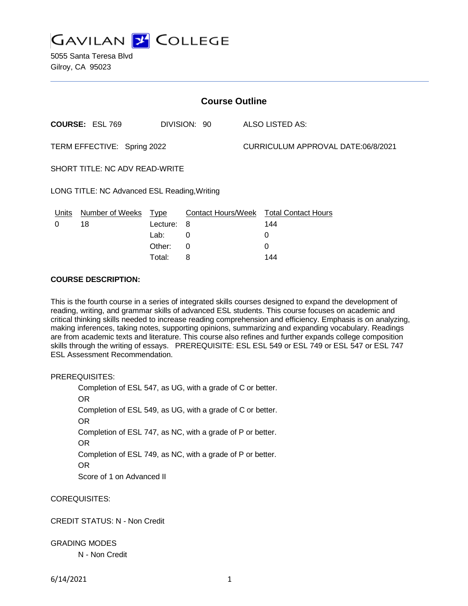

5055 Santa Teresa Blvd Gilroy, CA 95023

| <b>Course Outline</b>                        |                        |             |                           |                                    |                            |
|----------------------------------------------|------------------------|-------------|---------------------------|------------------------------------|----------------------------|
|                                              | <b>COURSE: ESL 769</b> |             | DIVISION: 90              |                                    | <b>ALSO LISTED AS:</b>     |
| TERM EFFECTIVE: Spring 2022                  |                        |             |                           | CURRICULUM APPROVAL DATE:06/8/2021 |                            |
| SHORT TITLE: NC ADV READ-WRITE               |                        |             |                           |                                    |                            |
| LONG TITLE: NC Advanced ESL Reading, Writing |                        |             |                           |                                    |                            |
| <b>Units</b>                                 | Number of Weeks        | <u>Type</u> | <b>Contact Hours/Week</b> |                                    | <b>Total Contact Hours</b> |
| 0                                            | 18                     | Lecture:    | 8                         |                                    | 144                        |
|                                              |                        | Lab:        | 0                         |                                    | 0                          |
|                                              |                        | Other:      | 0                         |                                    | 0                          |

Total: 8 144

#### **COURSE DESCRIPTION:**

This is the fourth course in a series of integrated skills courses designed to expand the development of reading, writing, and grammar skills of advanced ESL students. This course focuses on academic and critical thinking skills needed to increase reading comprehension and efficiency. Emphasis is on analyzing, making inferences, taking notes, supporting opinions, summarizing and expanding vocabulary. Readings are from academic texts and literature. This course also refines and further expands college composition skills through the writing of essays. PREREQUISITE: ESL ESL 549 or ESL 749 or ESL 547 or ESL 747 ESL Assessment Recommendation.

PREREQUISITES:

Completion of ESL 547, as UG, with a grade of C or better. OR Completion of ESL 549, as UG, with a grade of C or better. OR Completion of ESL 747, as NC, with a grade of P or better. OR Completion of ESL 749, as NC, with a grade of P or better. OR Score of 1 on Advanced II

COREQUISITES:

## CREDIT STATUS: N - Non Credit

GRADING MODES

N - Non Credit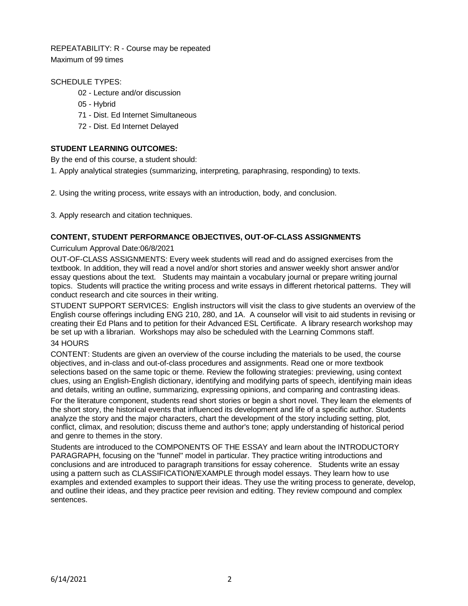REPEATABILITY: R - Course may be repeated Maximum of 99 times

# SCHEDULE TYPES:

- 02 Lecture and/or discussion
- 05 Hybrid
- 71 Dist. Ed Internet Simultaneous
- 72 Dist. Ed Internet Delayed

# **STUDENT LEARNING OUTCOMES:**

By the end of this course, a student should:

1. Apply analytical strategies (summarizing, interpreting, paraphrasing, responding) to texts.

2. Using the writing process, write essays with an introduction, body, and conclusion.

3. Apply research and citation techniques.

# **CONTENT, STUDENT PERFORMANCE OBJECTIVES, OUT-OF-CLASS ASSIGNMENTS**

### Curriculum Approval Date:06/8/2021

OUT-OF-CLASS ASSIGNMENTS: Every week students will read and do assigned exercises from the textbook. In addition, they will read a novel and/or short stories and answer weekly short answer and/or essay questions about the text. Students may maintain a vocabulary journal or prepare writing journal topics. Students will practice the writing process and write essays in different rhetorical patterns. They will conduct research and cite sources in their writing.

STUDENT SUPPORT SERVICES: English instructors will visit the class to give students an overview of the English course offerings including ENG 210, 280, and 1A. A counselor will visit to aid students in revising or creating their Ed Plans and to petition for their Advanced ESL Certificate. A library research workshop may be set up with a librarian. Workshops may also be scheduled with the Learning Commons staff.

# 34 HOURS

CONTENT: Students are given an overview of the course including the materials to be used, the course objectives, and in-class and out-of-class procedures and assignments. Read one or more textbook selections based on the same topic or theme. Review the following strategies: previewing, using context clues, using an English-English dictionary, identifying and modifying parts of speech, identifying main ideas and details, writing an outline, summarizing, expressing opinions, and comparing and contrasting ideas.

For the literature component, students read short stories or begin a short novel. They learn the elements of the short story, the historical events that influenced its development and life of a specific author. Students analyze the story and the major characters, chart the development of the story including setting, plot, conflict, climax, and resolution; discuss theme and author's tone; apply understanding of historical period and genre to themes in the story.

Students are introduced to the COMPONENTS OF THE ESSAY and learn about the INTRODUCTORY PARAGRAPH, focusing on the "funnel" model in particular. They practice writing introductions and conclusions and are introduced to paragraph transitions for essay coherence. Students write an essay using a pattern such as CLASSIFICATION/EXAMPLE through model essays. They learn how to use examples and extended examples to support their ideas. They use the writing process to generate, develop, and outline their ideas, and they practice peer revision and editing. They review compound and complex sentences.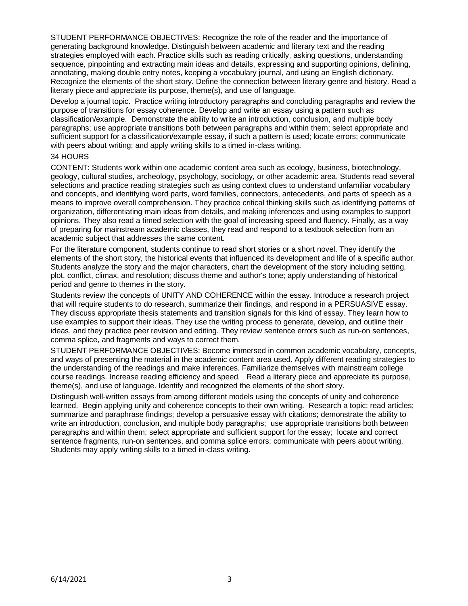STUDENT PERFORMANCE OBJECTIVES: Recognize the role of the reader and the importance of generating background knowledge. Distinguish between academic and literary text and the reading strategies employed with each. Practice skills such as reading critically, asking questions, understanding sequence, pinpointing and extracting main ideas and details, expressing and supporting opinions, defining, annotating, making double entry notes, keeping a vocabulary journal, and using an English dictionary. Recognize the elements of the short story. Define the connection between literary genre and history. Read a literary piece and appreciate its purpose, theme(s), and use of language.

Develop a journal topic. Practice writing introductory paragraphs and concluding paragraphs and review the purpose of transitions for essay coherence. Develop and write an essay using a pattern such as classification/example. Demonstrate the ability to write an introduction, conclusion, and multiple body paragraphs; use appropriate transitions both between paragraphs and within them; select appropriate and sufficient support for a classification/example essay, if such a pattern is used; locate errors; communicate with peers about writing; and apply writing skills to a timed in-class writing.

#### 34 HOURS

CONTENT: Students work within one academic content area such as ecology, business, biotechnology, geology, cultural studies, archeology, psychology, sociology, or other academic area. Students read several selections and practice reading strategies such as using context clues to understand unfamiliar vocabulary and concepts, and identifying word parts, word families, connectors, antecedents, and parts of speech as a means to improve overall comprehension. They practice critical thinking skills such as identifying patterns of organization, differentiating main ideas from details, and making inferences and using examples to support opinions. They also read a timed selection with the goal of increasing speed and fluency. Finally, as a way of preparing for mainstream academic classes, they read and respond to a textbook selection from an academic subject that addresses the same content.

For the literature component, students continue to read short stories or a short novel. They identify the elements of the short story, the historical events that influenced its development and life of a specific author. Students analyze the story and the major characters, chart the development of the story including setting, plot, conflict, climax, and resolution; discuss theme and author's tone; apply understanding of historical period and genre to themes in the story.

Students review the concepts of UNITY AND COHERENCE within the essay. Introduce a research project that will require students to do research, summarize their findings, and respond in a PERSUASIVE essay. They discuss appropriate thesis statements and transition signals for this kind of essay. They learn how to use examples to support their ideas. They use the writing process to generate, develop, and outline their ideas, and they practice peer revision and editing. They review sentence errors such as run-on sentences, comma splice, and fragments and ways to correct them.

STUDENT PERFORMANCE OBJECTIVES: Become immersed in common academic vocabulary, concepts, and ways of presenting the material in the academic content area used. Apply different reading strategies to the understanding of the readings and make inferences. Familiarize themselves with mainstream college course readings. Increase reading efficiency and speed. Read a literary piece and appreciate its purpose, theme(s), and use of language. Identify and recognized the elements of the short story.

Distinguish well-written essays from among different models using the concepts of unity and coherence learned. Begin applying unity and coherence concepts to their own writing. Research a topic; read articles; summarize and paraphrase findings; develop a persuasive essay with citations; demonstrate the ability to write an introduction, conclusion, and multiple body paragraphs; use appropriate transitions both between paragraphs and within them; select appropriate and sufficient support for the essay; locate and correct sentence fragments, run-on sentences, and comma splice errors; communicate with peers about writing. Students may apply writing skills to a timed in-class writing.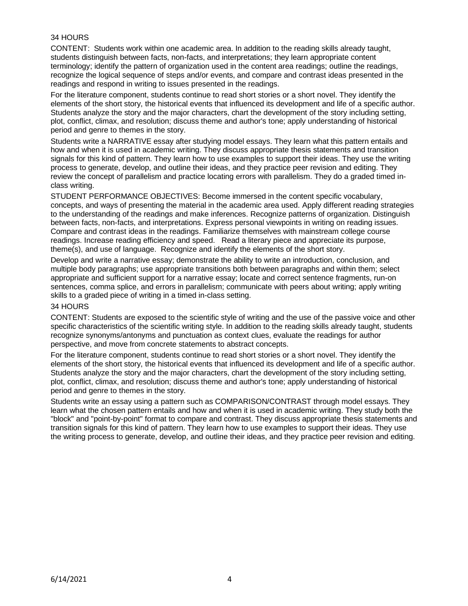# 34 HOURS

CONTENT: Students work within one academic area. In addition to the reading skills already taught, students distinguish between facts, non-facts, and interpretations; they learn appropriate content terminology; identify the pattern of organization used in the content area readings; outline the readings, recognize the logical sequence of steps and/or events, and compare and contrast ideas presented in the readings and respond in writing to issues presented in the readings.

For the literature component, students continue to read short stories or a short novel. They identify the elements of the short story, the historical events that influenced its development and life of a specific author. Students analyze the story and the major characters, chart the development of the story including setting, plot, conflict, climax, and resolution; discuss theme and author's tone; apply understanding of historical period and genre to themes in the story.

Students write a NARRATIVE essay after studying model essays. They learn what this pattern entails and how and when it is used in academic writing. They discuss appropriate thesis statements and transition signals for this kind of pattern. They learn how to use examples to support their ideas. They use the writing process to generate, develop, and outline their ideas, and they practice peer revision and editing. They review the concept of parallelism and practice locating errors with parallelism. They do a graded timed inclass writing.

STUDENT PERFORMANCE OBJECTIVES: Become immersed in the content specific vocabulary, concepts, and ways of presenting the material in the academic area used. Apply different reading strategies to the understanding of the readings and make inferences. Recognize patterns of organization. Distinguish between facts, non-facts, and interpretations. Express personal viewpoints in writing on reading issues. Compare and contrast ideas in the readings. Familiarize themselves with mainstream college course readings. Increase reading efficiency and speed. Read a literary piece and appreciate its purpose, theme(s), and use of language. Recognize and identify the elements of the short story.

Develop and write a narrative essay; demonstrate the ability to write an introduction, conclusion, and multiple body paragraphs; use appropriate transitions both between paragraphs and within them; select appropriate and sufficient support for a narrative essay; locate and correct sentence fragments, run-on sentences, comma splice, and errors in parallelism; communicate with peers about writing; apply writing skills to a graded piece of writing in a timed in-class setting.

#### 34 HOURS

CONTENT: Students are exposed to the scientific style of writing and the use of the passive voice and other specific characteristics of the scientific writing style. In addition to the reading skills already taught, students recognize synonyms/antonyms and punctuation as context clues, evaluate the readings for author perspective, and move from concrete statements to abstract concepts.

For the literature component, students continue to read short stories or a short novel. They identify the elements of the short story, the historical events that influenced its development and life of a specific author. Students analyze the story and the major characters, chart the development of the story including setting, plot, conflict, climax, and resolution; discuss theme and author's tone; apply understanding of historical period and genre to themes in the story.

Students write an essay using a pattern such as COMPARISON/CONTRAST through model essays. They learn what the chosen pattern entails and how and when it is used in academic writing. They study both the "block" and "point-by-point" format to compare and contrast. They discuss appropriate thesis statements and transition signals for this kind of pattern. They learn how to use examples to support their ideas. They use the writing process to generate, develop, and outline their ideas, and they practice peer revision and editing.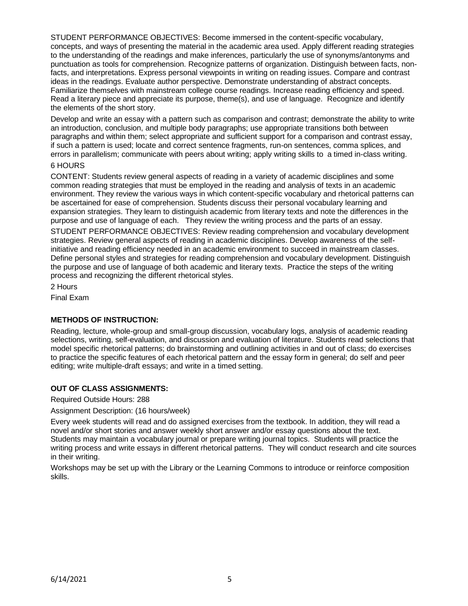STUDENT PERFORMANCE OBJECTIVES: Become immersed in the content-specific vocabulary, concepts, and ways of presenting the material in the academic area used. Apply different reading strategies to the understanding of the readings and make inferences, particularly the use of synonyms/antonyms and punctuation as tools for comprehension. Recognize patterns of organization. Distinguish between facts, nonfacts, and interpretations. Express personal viewpoints in writing on reading issues. Compare and contrast ideas in the readings. Evaluate author perspective. Demonstrate understanding of abstract concepts. Familiarize themselves with mainstream college course readings. Increase reading efficiency and speed. Read a literary piece and appreciate its purpose, theme(s), and use of language. Recognize and identify the elements of the short story.

Develop and write an essay with a pattern such as comparison and contrast; demonstrate the ability to write an introduction, conclusion, and multiple body paragraphs; use appropriate transitions both between paragraphs and within them; select appropriate and sufficient support for a comparison and contrast essay, if such a pattern is used; locate and correct sentence fragments, run-on sentences, comma splices, and errors in parallelism; communicate with peers about writing; apply writing skills to a timed in-class writing.

## 6 HOURS

CONTENT: Students review general aspects of reading in a variety of academic disciplines and some common reading strategies that must be employed in the reading and analysis of texts in an academic environment. They review the various ways in which content-specific vocabulary and rhetorical patterns can be ascertained for ease of comprehension. Students discuss their personal vocabulary learning and expansion strategies. They learn to distinguish academic from literary texts and note the differences in the purpose and use of language of each. They review the writing process and the parts of an essay.

STUDENT PERFORMANCE OBJECTIVES: Review reading comprehension and vocabulary development strategies. Review general aspects of reading in academic disciplines. Develop awareness of the selfinitiative and reading efficiency needed in an academic environment to succeed in mainstream classes. Define personal styles and strategies for reading comprehension and vocabulary development. Distinguish the purpose and use of language of both academic and literary texts. Practice the steps of the writing process and recognizing the different rhetorical styles.

2 Hours

Final Exam

## **METHODS OF INSTRUCTION:**

Reading, lecture, whole-group and small-group discussion, vocabulary logs, analysis of academic reading selections, writing, self-evaluation, and discussion and evaluation of literature. Students read selections that model specific rhetorical patterns; do brainstorming and outlining activities in and out of class; do exercises to practice the specific features of each rhetorical pattern and the essay form in general; do self and peer editing; write multiple-draft essays; and write in a timed setting.

# **OUT OF CLASS ASSIGNMENTS:**

Required Outside Hours: 288

Assignment Description: (16 hours/week)

Every week students will read and do assigned exercises from the textbook. In addition, they will read a novel and/or short stories and answer weekly short answer and/or essay questions about the text. Students may maintain a vocabulary journal or prepare writing journal topics. Students will practice the writing process and write essays in different rhetorical patterns. They will conduct research and cite sources in their writing.

Workshops may be set up with the Library or the Learning Commons to introduce or reinforce composition skills.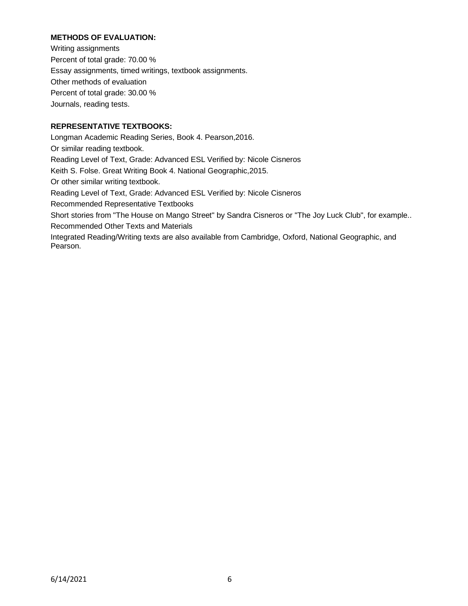# **METHODS OF EVALUATION:**

Writing assignments Percent of total grade: 70.00 % Essay assignments, timed writings, textbook assignments. Other methods of evaluation Percent of total grade: 30.00 % Journals, reading tests.

# **REPRESENTATIVE TEXTBOOKS:**

Longman Academic Reading Series, Book 4. Pearson,2016. Or similar reading textbook. Reading Level of Text, Grade: Advanced ESL Verified by: Nicole Cisneros Keith S. Folse. Great Writing Book 4. National Geographic,2015. Or other similar writing textbook. Reading Level of Text, Grade: Advanced ESL Verified by: Nicole Cisneros Recommended Representative Textbooks Short stories from "The House on Mango Street" by Sandra Cisneros or "The Joy Luck Club", for example.. Recommended Other Texts and Materials Integrated Reading/Writing texts are also available from Cambridge, Oxford, National Geographic, and Pearson.